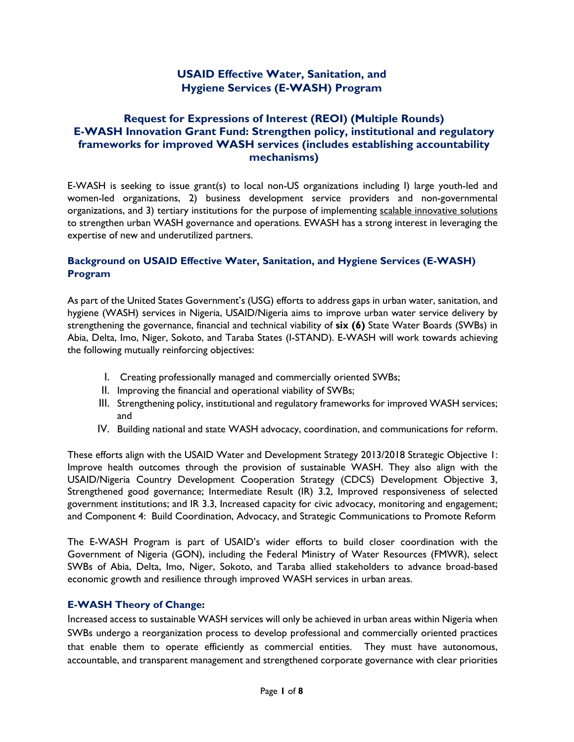# **USAID Effective Water, Sanitation, and Hygiene Services (E-WASH) Program**

# **Request for Expressions of Interest (REOI) (Multiple Rounds) E-WASH Innovation Grant Fund: Strengthen policy, institutional and regulatory frameworks for improved WASH services (includes establishing accountability mechanisms)**

E-WASH is seeking to issue grant(s) to local non-US organizations including I) large youth-led and women-led organizations, 2) business development service providers and non-governmental organizations, and 3) tertiary institutions for the purpose of implementing scalable innovative solutions to strengthen urban WASH governance and operations. EWASH has a strong interest in leveraging the expertise of new and underutilized partners.

## **Background on USAID Effective Water, Sanitation, and Hygiene Services (E-WASH) Program**

As part of the United States Government's (USG) efforts to address gaps in urban water, sanitation, and hygiene (WASH) services in Nigeria, USAID/Nigeria aims to improve urban water service delivery by strengthening the governance, financial and technical viability of **six (6)** State Water Boards (SWBs) in Abia, Delta, Imo, Niger, Sokoto, and Taraba States (I-STAND). E-WASH will work towards achieving the following mutually reinforcing objectives:

- I. Creating professionally managed and commercially oriented SWBs;
- II. Improving the financial and operational viability of SWBs;
- III. Strengthening policy, institutional and regulatory frameworks for improved WASH services; and
- IV. Building national and state WASH advocacy, coordination, and communications for reform.

These efforts align with the USAID Water and Development Strategy 2013/2018 Strategic Objective 1: Improve health outcomes through the provision of sustainable WASH. They also align with the USAID/Nigeria Country Development Cooperation Strategy (CDCS) Development Objective 3, Strengthened good governance; Intermediate Result (IR) 3.2, Improved responsiveness of selected government institutions; and IR 3.3, Increased capacity for civic advocacy, monitoring and engagement; and Component 4: Build Coordination, Advocacy, and Strategic Communications to Promote Reform

The E-WASH Program is part of USAID's wider efforts to build closer coordination with the Government of Nigeria (GON), including the Federal Ministry of Water Resources (FMWR), select SWBs of Abia, Delta, Imo, Niger, Sokoto, and Taraba allied stakeholders to advance broad-based economic growth and resilience through improved WASH services in urban areas.

### **E-WASH Theory of Change:**

Increased access to sustainable WASH services will only be achieved in urban areas within Nigeria when SWBs undergo a reorganization process to develop professional and commercially oriented practices that enable them to operate efficiently as commercial entities. They must have autonomous, accountable, and transparent management and strengthened corporate governance with clear priorities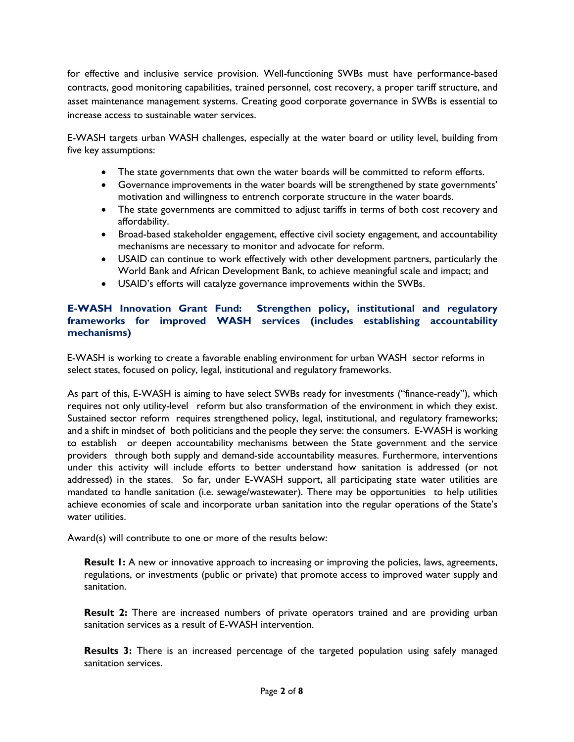for effective and inclusive service provision. Well-functioning SWBs must have performance-based contracts, good monitoring capabilities, trained personnel, cost recovery, a proper tariff structure, and asset maintenance management systems. Creating good corporate governance in SWBs is essential to increase access to sustainable water services.

E-WASH targets urban WASH challenges, especially at the water board or utility level, building from five key assumptions:

- The state governments that own the water boards will be committed to reform efforts.
- Governance improvements in the water boards will be strengthened by state governments' motivation and willingness to entrench corporate structure in the water boards.
- The state governments are committed to adjust tariffs in terms of both cost recovery and affordability.
- Broad-based stakeholder engagement, effective civil society engagement, and accountability mechanisms are necessary to monitor and advocate for reform.
- USAID can continue to work effectively with other development partners, particularly the World Bank and African Development Bank, to achieve meaningful scale and impact; and
- USAID's efforts will catalyze governance improvements within the SWBs.

## **E-WASH Innovation Grant Fund: Strengthen policy, institutional and regulatory frameworks for improved WASH services (includes establishing accountability mechanisms)**

E-WASH is working to create a favorable enabling environment for urban WASH sector reforms in select states, focused on policy, legal, institutional and regulatory frameworks.

As part of this, E-WASH is aiming to have select SWBs ready for investments ("finance-ready"), which requires not only utility-level reform but also transformation of the environment in which they exist. Sustained sector reform requires strengthened policy, legal, institutional, and regulatory frameworks; and a shift in mindset of both politicians and the people they serve: the consumers. E-WASH is working to establish or deepen accountability mechanisms between the State government and the service providers through both supply and demand-side accountability measures. Furthermore, interventions under this activity will include efforts to better understand how sanitation is addressed (or not addressed) in the states. So far, under E-WASH support, all participating state water utilities are mandated to handle sanitation (i.e. sewage/wastewater). There may be opportunities to help utilities achieve economies of scale and incorporate urban sanitation into the regular operations of the State's water utilities.

Award(s) will contribute to one or more of the results below:

**Result 1:** A new or innovative approach to increasing or improving the policies, laws, agreements, regulations, or investments (public or private) that promote access to improved water supply and sanitation.

**Result 2:** There are increased numbers of private operators trained and are providing urban sanitation services as a result of E-WASH intervention.

**Results 3:** There is an increased percentage of the targeted population using safely managed sanitation services.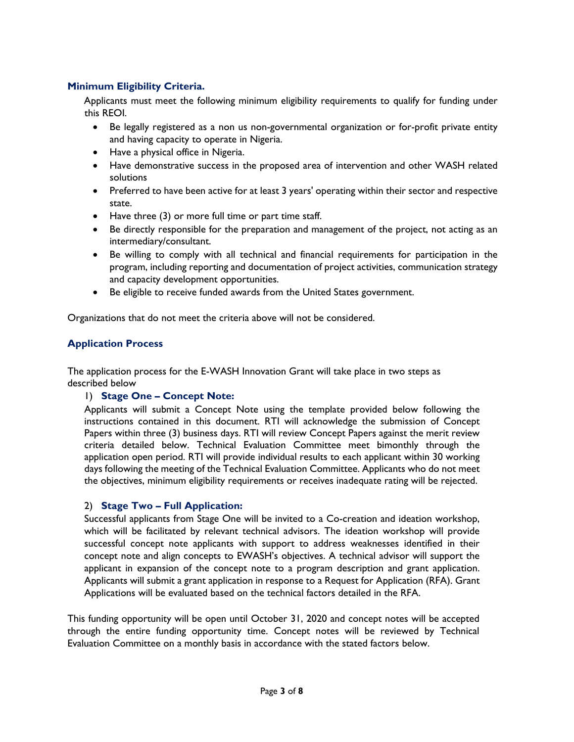# **Minimum Eligibility Criteria.**

Applicants must meet the following minimum eligibility requirements to qualify for funding under this REOI.

- Be legally registered as a non us non-governmental organization or for-profit private entity and having capacity to operate in Nigeria.
- Have a physical office in Nigeria.
- Have demonstrative success in the proposed area of intervention and other WASH related solutions
- Preferred to have been active for at least 3 years' operating within their sector and respective state.
- Have three (3) or more full time or part time staff.
- Be directly responsible for the preparation and management of the project, not acting as an intermediary/consultant.
- Be willing to comply with all technical and financial requirements for participation in the program, including reporting and documentation of project activities, communication strategy and capacity development opportunities.
- Be eligible to receive funded awards from the United States government.

Organizations that do not meet the criteria above will not be considered.

# **Application Process**

The application process for the E-WASH Innovation Grant will take place in two steps as described below

### 1) **Stage One – Concept Note:**

Applicants will submit a Concept Note using the template provided below following the instructions contained in this document. RTI will acknowledge the submission of Concept Papers within three (3) business days. RTI will review Concept Papers against the merit review criteria detailed below. Technical Evaluation Committee meet bimonthly through the application open period. RTI will provide individual results to each applicant within 30 working days following the meeting of the Technical Evaluation Committee. Applicants who do not meet the objectives, minimum eligibility requirements or receives inadequate rating will be rejected.

### 2) **Stage Two – Full Application:**

Successful applicants from Stage One will be invited to a Co-creation and ideation workshop, which will be facilitated by relevant technical advisors. The ideation workshop will provide successful concept note applicants with support to address weaknesses identified in their concept note and align concepts to EWASH's objectives. A technical advisor will support the applicant in expansion of the concept note to a program description and grant application. Applicants will submit a grant application in response to a Request for Application (RFA). Grant Applications will be evaluated based on the technical factors detailed in the RFA.

This funding opportunity will be open until October 31, 2020 and concept notes will be accepted through the entire funding opportunity time. Concept notes will be reviewed by Technical Evaluation Committee on a monthly basis in accordance with the stated factors below.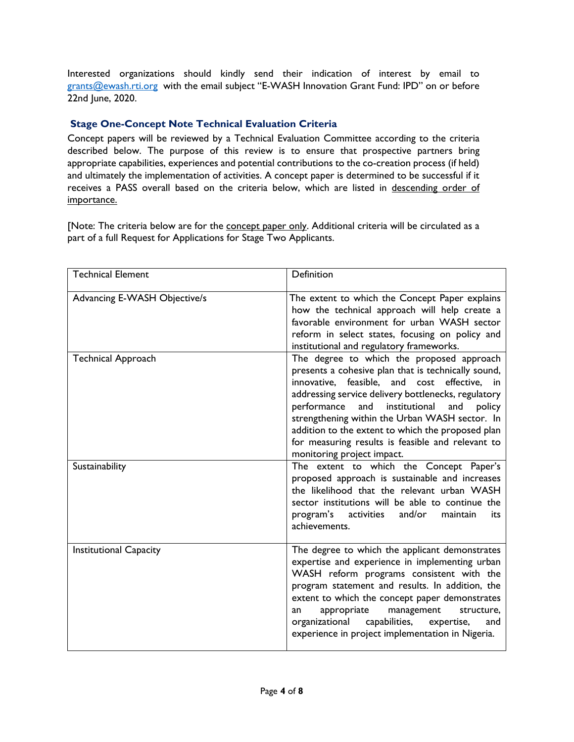Interested organizations should kindly send their indication of interest by email to grants@ewash.rti.org with the email subject "E-WASH Innovation Grant Fund: IPD" on or before 22nd June, 2020.

# **Stage One-Concept Note Technical Evaluation Criteria**

Concept papers will be reviewed by a Technical Evaluation Committee according to the criteria described below. The purpose of this review is to ensure that prospective partners bring appropriate capabilities, experiences and potential contributions to the co-creation process (if held) and ultimately the implementation of activities. A concept paper is determined to be successful if it receives a PASS overall based on the criteria below, which are listed in descending order of importance.

[Note: The criteria below are for the concept paper only. Additional criteria will be circulated as a part of a full Request for Applications for Stage Two Applicants.

| <b>Technical Element</b>      | Definition                                                                                                                                                                                                                                                                                                                                                                                                                                                |
|-------------------------------|-----------------------------------------------------------------------------------------------------------------------------------------------------------------------------------------------------------------------------------------------------------------------------------------------------------------------------------------------------------------------------------------------------------------------------------------------------------|
| Advancing E-WASH Objective/s  | The extent to which the Concept Paper explains<br>how the technical approach will help create a<br>favorable environment for urban WASH sector<br>reform in select states, focusing on policy and<br>institutional and regulatory frameworks.                                                                                                                                                                                                             |
| <b>Technical Approach</b>     | The degree to which the proposed approach<br>presents a cohesive plan that is technically sound,<br>innovative, feasible, and cost effective,<br>in<br>addressing service delivery bottlenecks, regulatory<br>and institutional<br>performance<br>and<br>policy<br>strengthening within the Urban WASH sector. In<br>addition to the extent to which the proposed plan<br>for measuring results is feasible and relevant to<br>monitoring project impact. |
| Sustainability                | The extent to which the Concept Paper's<br>proposed approach is sustainable and increases<br>the likelihood that the relevant urban WASH<br>sector institutions will be able to continue the<br>program's<br>and/or<br>maintain<br>activities<br>its<br>achievements.                                                                                                                                                                                     |
| <b>Institutional Capacity</b> | The degree to which the applicant demonstrates<br>expertise and experience in implementing urban<br>WASH reform programs consistent with the<br>program statement and results. In addition, the<br>extent to which the concept paper demonstrates<br>appropriate<br>management<br>structure.<br>an<br>organizational<br>capabilities,<br>expertise,<br>and<br>experience in project implementation in Nigeria.                                            |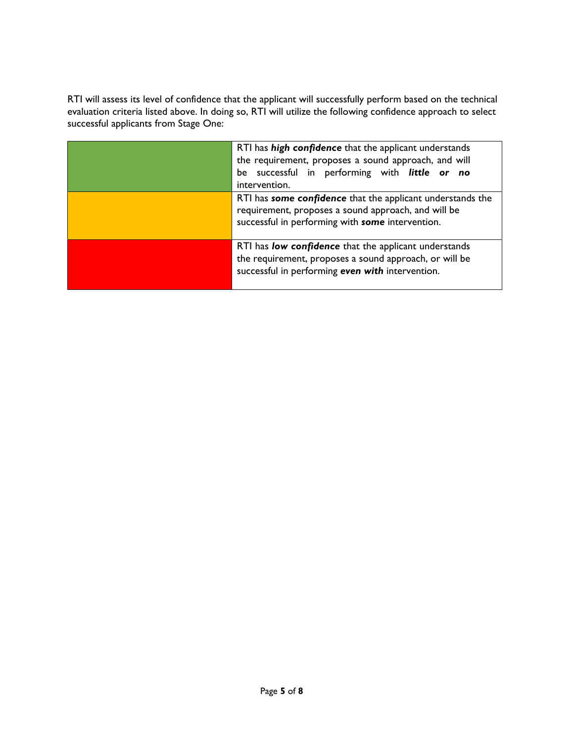RTI will assess its level of confidence that the applicant will successfully perform based on the technical evaluation criteria listed above. In doing so, RTI will utilize the following confidence approach to select successful applicants from Stage One:

| RTI has high confidence that the applicant understands<br>the requirement, proposes a sound approach, and will<br>be successful in performing with little or no<br>intervention. |
|----------------------------------------------------------------------------------------------------------------------------------------------------------------------------------|
| RTI has some confidence that the applicant understands the<br>requirement, proposes a sound approach, and will be<br>successful in performing with some intervention.            |
| RTI has low confidence that the applicant understands<br>the requirement, proposes a sound approach, or will be<br>successful in performing even with intervention.              |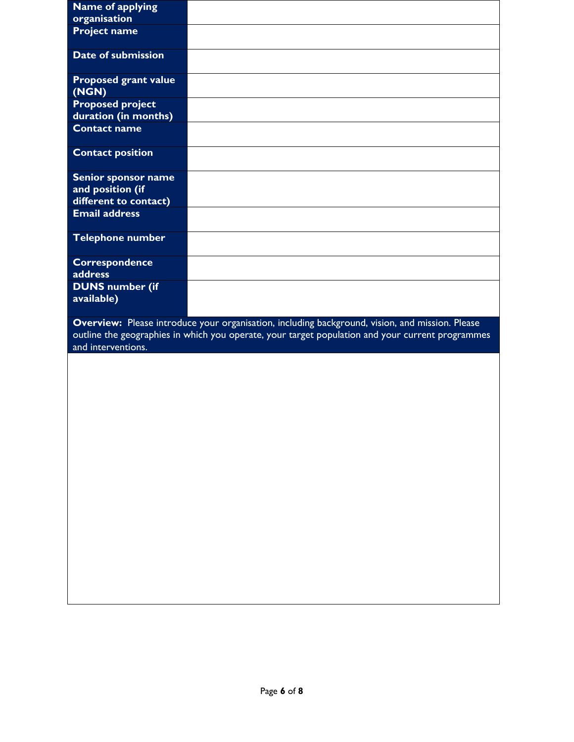| <b>Name of applying</b>                         |                                                                                                                                                                                                     |
|-------------------------------------------------|-----------------------------------------------------------------------------------------------------------------------------------------------------------------------------------------------------|
| organisation                                    |                                                                                                                                                                                                     |
| <b>Project name</b>                             |                                                                                                                                                                                                     |
| Date of submission                              |                                                                                                                                                                                                     |
| <b>Proposed grant value</b><br>(NGN)            |                                                                                                                                                                                                     |
| <b>Proposed project</b><br>duration (in months) |                                                                                                                                                                                                     |
| <b>Contact name</b>                             |                                                                                                                                                                                                     |
| <b>Contact position</b>                         |                                                                                                                                                                                                     |
| Senior sponsor name                             |                                                                                                                                                                                                     |
| and position (if                                |                                                                                                                                                                                                     |
| different to contact)                           |                                                                                                                                                                                                     |
| <b>Email address</b>                            |                                                                                                                                                                                                     |
| <b>Telephone number</b>                         |                                                                                                                                                                                                     |
| <b>Correspondence</b>                           |                                                                                                                                                                                                     |
| address                                         |                                                                                                                                                                                                     |
|                                                 |                                                                                                                                                                                                     |
| <b>DUNS number (if</b>                          |                                                                                                                                                                                                     |
| available)                                      |                                                                                                                                                                                                     |
|                                                 |                                                                                                                                                                                                     |
|                                                 | Overview: Please introduce your organisation, including background, vision, and mission. Please<br>outline the geographies in which you operate, your target population and your current programmes |
| and interventions.                              |                                                                                                                                                                                                     |
|                                                 |                                                                                                                                                                                                     |
|                                                 |                                                                                                                                                                                                     |
|                                                 |                                                                                                                                                                                                     |
|                                                 |                                                                                                                                                                                                     |
|                                                 |                                                                                                                                                                                                     |
|                                                 |                                                                                                                                                                                                     |
|                                                 |                                                                                                                                                                                                     |
|                                                 |                                                                                                                                                                                                     |
|                                                 |                                                                                                                                                                                                     |
|                                                 |                                                                                                                                                                                                     |
|                                                 |                                                                                                                                                                                                     |
|                                                 |                                                                                                                                                                                                     |
|                                                 |                                                                                                                                                                                                     |
|                                                 |                                                                                                                                                                                                     |
|                                                 |                                                                                                                                                                                                     |
|                                                 |                                                                                                                                                                                                     |
|                                                 |                                                                                                                                                                                                     |
|                                                 |                                                                                                                                                                                                     |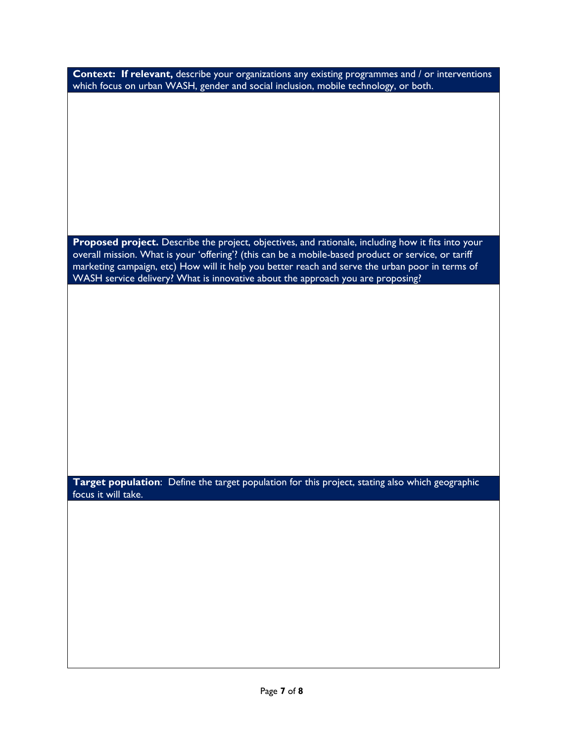| <b>Context: If relevant,</b> describe your organizations any existing programmes and / or interventions |  |
|---------------------------------------------------------------------------------------------------------|--|
| which focus on urban WASH, gender and social inclusion, mobile technology, or both.                     |  |
|                                                                                                         |  |

**Proposed project.** Describe the project, objectives, and rationale, including how it fits into your overall mission. What is your 'offering'? (this can be a mobile-based product or service, or tariff marketing campaign, etc) How will it help you better reach and serve the urban poor in terms of WASH service delivery? What is innovative about the approach you are proposing?

**Target population**: Define the target population for this project, stating also which geographic focus it will take.